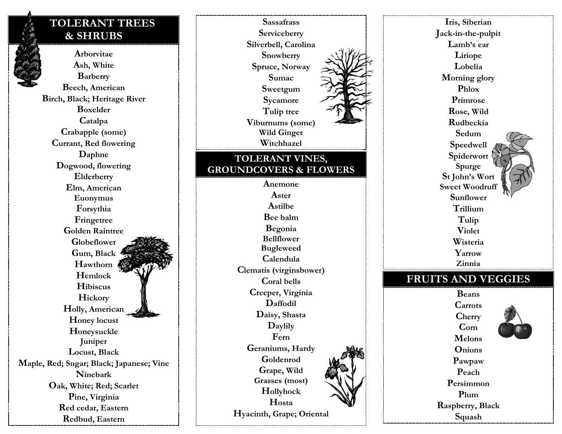# **TOLERANT TREES** & SHRUBS

Arborvitae Ash, White **Barberry** Beech, American Birch, Black; Heritage River **Boxelder** Catalpa Crabapple (some) Currant, Red flowering Daphne Dogwood, flowering Elderberry Elm, American Euonymus Forsythia Fringetree **Golden Raintree** Globeflower Gum, Black Hawthorn Hemlock **Hibiscus** Hickory Holly, American Honey locust Honeysuckle Juniper Locust, Black Maple, Red; Sugar; Black; Japanese; Vine **Ninebark** Oak, White; Red; Scarlet Pine, Virginia Red cedar, Eastern Redbud, Eastern



Iris, Siberian Jack-in-the-pulpit Lamb's ear Liriope Lobelia Morning glory Phlox Primrose Rose, Wild Rudbeckia Sedum **Speedwell** Spiderwort Spurge St John's Wort **Sweet Woodruff** Sunflower Trillium Tulip **Violet** Wisteria Yarrow Zinnia **FRUITS AND VEGGIES Beans** Carrots

Cherry  $\mathbf{Corn}$ **Melons Onions** Pawpaw Peach Persimmon Plum Raspberry, Black Squash